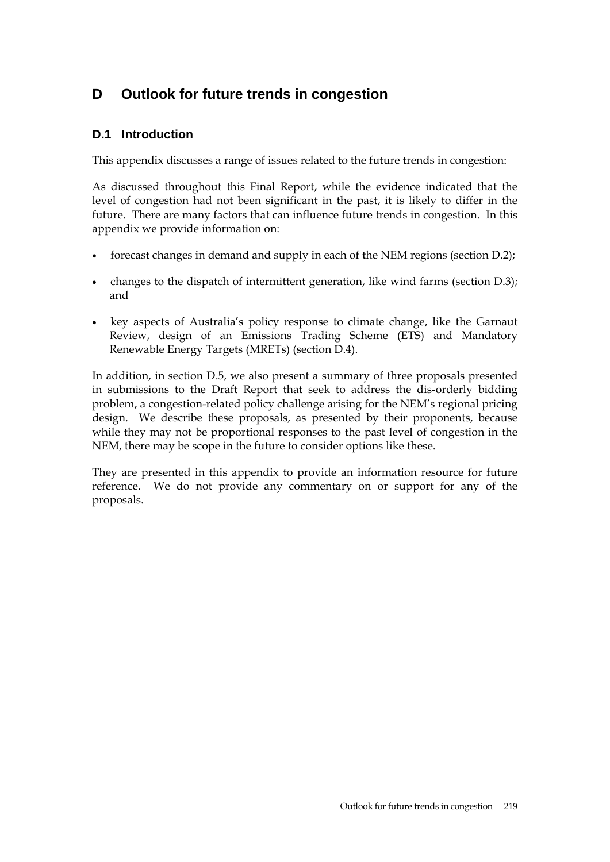# **D Outlook for future trends in congestion**

# **D.1 Introduction**

This appendix discusses a range of issues related to the future trends in congestion:

As discussed throughout this Final Report, while the evidence indicated that the level of congestion had not been significant in the past, it is likely to differ in the future. There are many factors that can influence future trends in congestion. In this appendix we provide information on:

- forecast changes in demand and supply in each of the NEM regions (section [D.2\)](#page-1-0);
- changes to the dispatch of intermittent generation, like wind farms (section [D.3\)](#page-7-0); and
- key aspects of Australia's policy response to climate change, like the Garnaut Review, design of an Emissions Trading Scheme (ETS) and Mandatory Renewable Energy Targets (MRETs) (section [D.4](#page-9-0)).

In addition, in section [D.5,](#page-14-0) we also present a summary of three proposals presented in submissions to the Draft Report that seek to address the dis-orderly bidding problem, a congestion-related policy challenge arising for the NEM's regional pricing design. We describe these proposals, as presented by their proponents, because while they may not be proportional responses to the past level of congestion in the NEM, there may be scope in the future to consider options like these.

They are presented in this appendix to provide an information resource for future reference. We do not provide any commentary on or support for any of the proposals.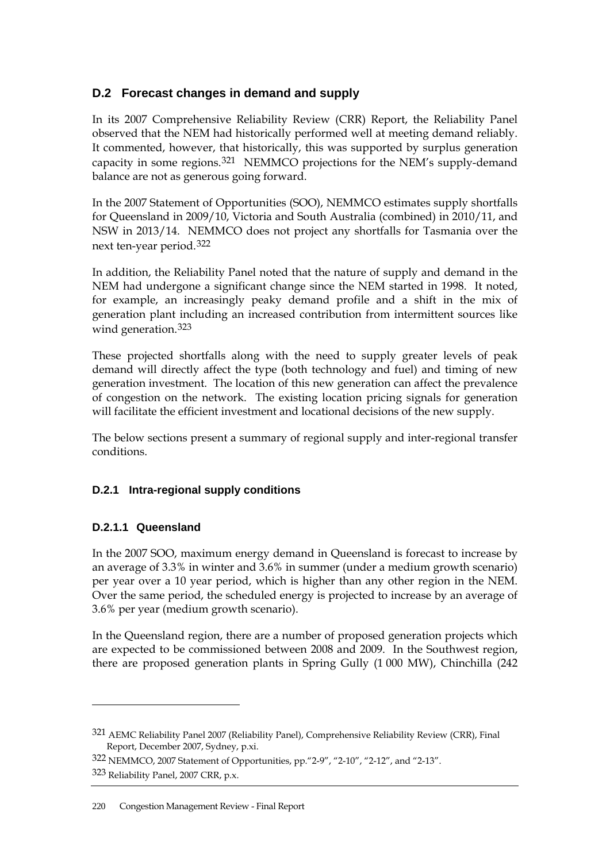# <span id="page-1-0"></span>**D.2 Forecast changes in demand and supply**

In its 2007 Comprehensive Reliability Review (CRR) Report, the Reliability Panel observed that the NEM had historically performed well at meeting demand reliably. It commented, however, that historically, this was supported by surplus generation capacity in some regions.[321](#page-1-1) NEMMCO projections for the NEM's supply-demand balance are not as generous going forward.

In the 2007 Statement of Opportunities (SOO), NEMMCO estimates supply shortfalls for Queensland in 2009/10, Victoria and South Australia (combined) in 2010/11, and NSW in 2013/14. NEMMCO does not project any shortfalls for Tasmania over the next ten-year period.[322](#page-1-2)

In addition, the Reliability Panel noted that the nature of supply and demand in the NEM had undergone a significant change since the NEM started in 1998. It noted, for example, an increasingly peaky demand profile and a shift in the mix of generation plant including an increased contribution from intermittent sources like wind generation.<sup>[323](#page-1-3)</sup>

These projected shortfalls along with the need to supply greater levels of peak demand will directly affect the type (both technology and fuel) and timing of new generation investment. The location of this new generation can affect the prevalence of congestion on the network. The existing location pricing signals for generation will facilitate the efficient investment and locational decisions of the new supply.

The below sections present a summary of regional supply and inter-regional transfer conditions.

## **D.2.1 Intra-regional supply conditions**

## **D.2.1.1 Queensland**

 $\overline{a}$ 

In the 2007 SOO, maximum energy demand in Queensland is forecast to increase by an average of 3.3% in winter and 3.6% in summer (under a medium growth scenario) per year over a 10 year period, which is higher than any other region in the NEM. Over the same period, the scheduled energy is projected to increase by an average of 3.6% per year (medium growth scenario).

In the Queensland region, there are a number of proposed generation projects which are expected to be commissioned between 2008 and 2009. In the Southwest region, there are proposed generation plants in Spring Gully (1 000 MW), Chinchilla (242

<span id="page-1-1"></span><sup>321</sup> AEMC Reliability Panel 2007 (Reliability Panel), Comprehensive Reliability Review (CRR), Final Report, December 2007, Sydney, p.xi.

<span id="page-1-3"></span><span id="page-1-2"></span><sup>322</sup> NEMMCO, 2007 Statement of Opportunities, pp."2-9", "2-10", "2-12", and "2-13". 323 Reliability Panel, 2007 CRR, p.x.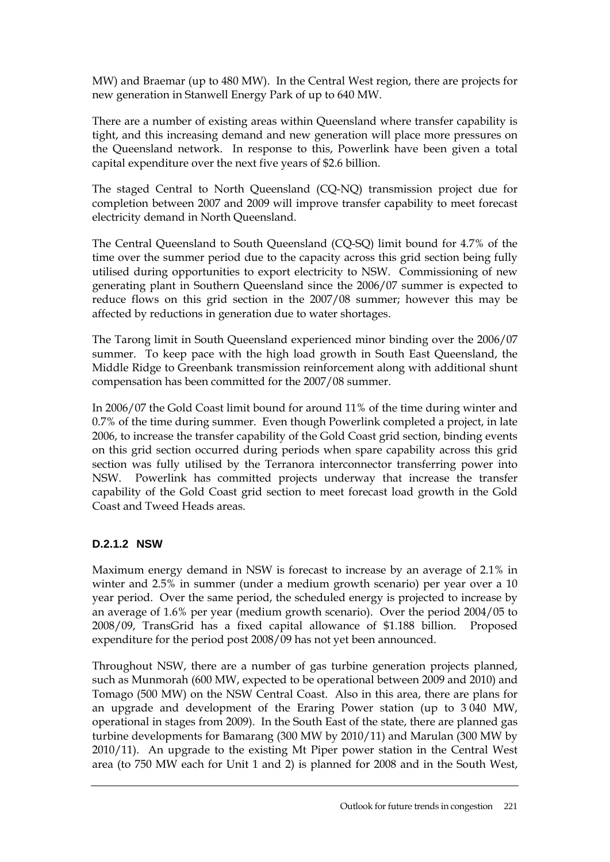MW) and Braemar (up to 480 MW). In the Central West region, there are projects for new generation in Stanwell Energy Park of up to 640 MW.

There are a number of existing areas within Queensland where transfer capability is tight, and this increasing demand and new generation will place more pressures on the Queensland network. In response to this, Powerlink have been given a total capital expenditure over the next five years of \$2.6 billion.

The staged Central to North Queensland (CQ-NQ) transmission project due for completion between 2007 and 2009 will improve transfer capability to meet forecast electricity demand in North Queensland.

The Central Queensland to South Queensland (CQ-SQ) limit bound for 4.7% of the time over the summer period due to the capacity across this grid section being fully utilised during opportunities to export electricity to NSW. Commissioning of new generating plant in Southern Queensland since the 2006/07 summer is expected to reduce flows on this grid section in the 2007/08 summer; however this may be affected by reductions in generation due to water shortages.

The Tarong limit in South Queensland experienced minor binding over the 2006/07 summer. To keep pace with the high load growth in South East Queensland, the Middle Ridge to Greenbank transmission reinforcement along with additional shunt compensation has been committed for the 2007/08 summer.

In 2006/07 the Gold Coast limit bound for around 11% of the time during winter and 0.7% of the time during summer. Even though Powerlink completed a project, in late 2006, to increase the transfer capability of the Gold Coast grid section, binding events on this grid section occurred during periods when spare capability across this grid section was fully utilised by the Terranora interconnector transferring power into NSW. Powerlink has committed projects underway that increase the transfer capability of the Gold Coast grid section to meet forecast load growth in the Gold Coast and Tweed Heads areas.

## **D.2.1.2 NSW**

Maximum energy demand in NSW is forecast to increase by an average of 2.1% in winter and 2.5% in summer (under a medium growth scenario) per year over a 10 year period. Over the same period, the scheduled energy is projected to increase by an average of 1.6% per year (medium growth scenario). Over the period 2004/05 to 2008/09, TransGrid has a fixed capital allowance of \$1.188 billion. Proposed expenditure for the period post 2008/09 has not yet been announced.

Throughout NSW, there are a number of gas turbine generation projects planned, such as Munmorah (600 MW, expected to be operational between 2009 and 2010) and Tomago (500 MW) on the NSW Central Coast. Also in this area, there are plans for an upgrade and development of the Eraring Power station (up to 3 040 MW, operational in stages from 2009). In the South East of the state, there are planned gas turbine developments for Bamarang (300 MW by 2010/11) and Marulan (300 MW by 2010/11). An upgrade to the existing Mt Piper power station in the Central West area (to 750 MW each for Unit 1 and 2) is planned for 2008 and in the South West,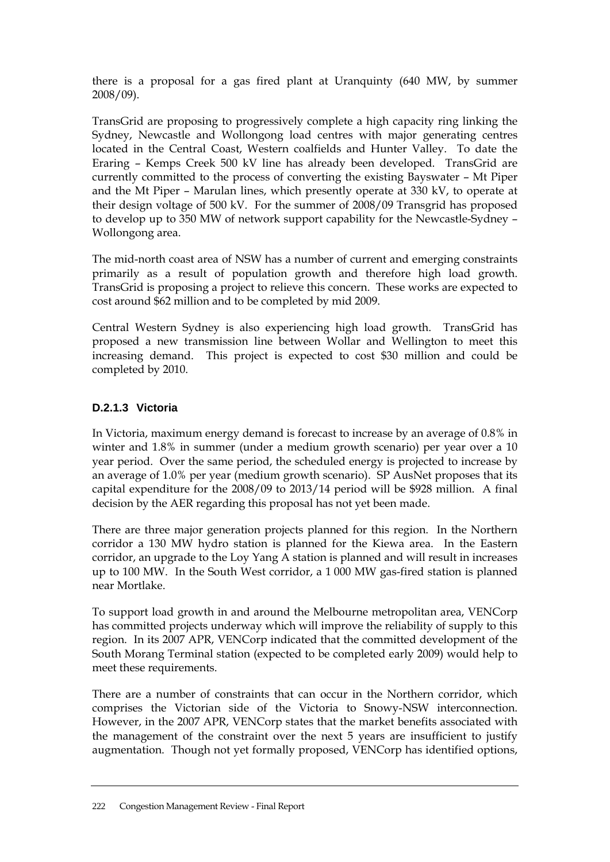there is a proposal for a gas fired plant at Uranquinty (640 MW, by summer 2008/09).

TransGrid are proposing to progressively complete a high capacity ring linking the Sydney, Newcastle and Wollongong load centres with major generating centres located in the Central Coast, Western coalfields and Hunter Valley. To date the Eraring – Kemps Creek 500 kV line has already been developed. TransGrid are currently committed to the process of converting the existing Bayswater – Mt Piper and the Mt Piper – Marulan lines, which presently operate at 330 kV, to operate at their design voltage of 500 kV. For the summer of 2008/09 Transgrid has proposed to develop up to 350 MW of network support capability for the Newcastle-Sydney – Wollongong area.

The mid-north coast area of NSW has a number of current and emerging constraints primarily as a result of population growth and therefore high load growth. TransGrid is proposing a project to relieve this concern. These works are expected to cost around \$62 million and to be completed by mid 2009.

Central Western Sydney is also experiencing high load growth. TransGrid has proposed a new transmission line between Wollar and Wellington to meet this increasing demand. This project is expected to cost \$30 million and could be completed by 2010.

# **D.2.1.3 Victoria**

In Victoria, maximum energy demand is forecast to increase by an average of 0.8% in winter and 1.8% in summer (under a medium growth scenario) per year over a 10 year period. Over the same period, the scheduled energy is projected to increase by an average of 1.0% per year (medium growth scenario). SP AusNet proposes that its capital expenditure for the 2008/09 to 2013/14 period will be \$928 million. A final decision by the AER regarding this proposal has not yet been made.

There are three major generation projects planned for this region. In the Northern corridor a 130 MW hydro station is planned for the Kiewa area. In the Eastern corridor, an upgrade to the Loy Yang A station is planned and will result in increases up to 100 MW. In the South West corridor, a 1 000 MW gas-fired station is planned near Mortlake.

To support load growth in and around the Melbourne metropolitan area, VENCorp has committed projects underway which will improve the reliability of supply to this region. In its 2007 APR, VENCorp indicated that the committed development of the South Morang Terminal station (expected to be completed early 2009) would help to meet these requirements.

There are a number of constraints that can occur in the Northern corridor, which comprises the Victorian side of the Victoria to Snowy-NSW interconnection. However, in the 2007 APR, VENCorp states that the market benefits associated with the management of the constraint over the next 5 years are insufficient to justify augmentation. Though not yet formally proposed, VENCorp has identified options,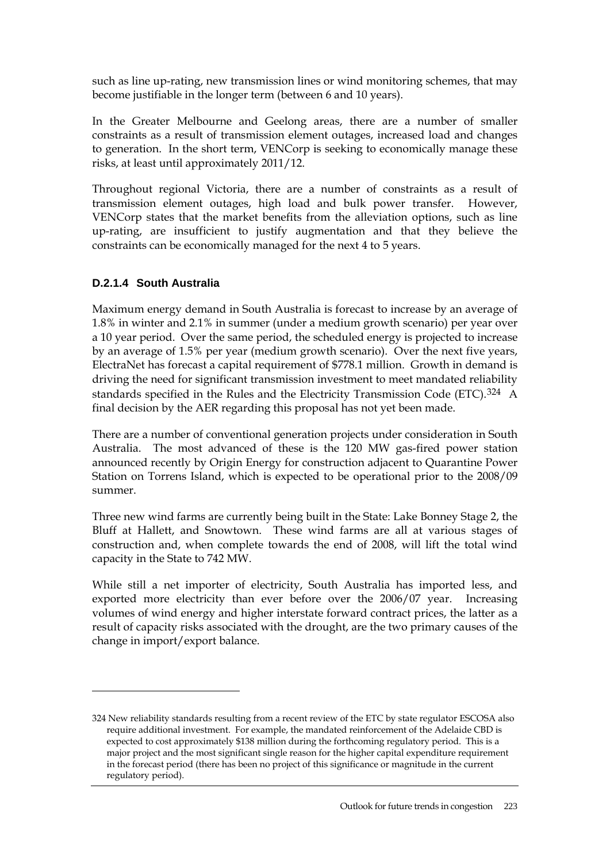such as line up-rating, new transmission lines or wind monitoring schemes, that may become justifiable in the longer term (between 6 and 10 years).

In the Greater Melbourne and Geelong areas, there are a number of smaller constraints as a result of transmission element outages, increased load and changes to generation. In the short term, VENCorp is seeking to economically manage these risks, at least until approximately 2011/12.

Throughout regional Victoria, there are a number of constraints as a result of transmission element outages, high load and bulk power transfer. However, VENCorp states that the market benefits from the alleviation options, such as line up-rating, are insufficient to justify augmentation and that they believe the constraints can be economically managed for the next 4 to 5 years.

# **D.2.1.4 South Australia**

 $\overline{a}$ 

Maximum energy demand in South Australia is forecast to increase by an average of 1.8% in winter and 2.1% in summer (under a medium growth scenario) per year over a 10 year period. Over the same period, the scheduled energy is projected to increase by an average of 1.5% per year (medium growth scenario). Over the next five years, ElectraNet has forecast a capital requirement of \$778.1 million. Growth in demand is driving the need for significant transmission investment to meet mandated reliability standards specified in the Rules and the Electricity Transmission Code (ETC).<sup>[324](#page-4-0)</sup> A final decision by the AER regarding this proposal has not yet been made.

There are a number of conventional generation projects under consideration in South Australia. The most advanced of these is the 120 MW gas-fired power station announced recently by Origin Energy for construction adjacent to Quarantine Power Station on Torrens Island, which is expected to be operational prior to the 2008/09 summer.

Three new wind farms are currently being built in the State: Lake Bonney Stage 2, the Bluff at Hallett, and Snowtown. These wind farms are all at various stages of construction and, when complete towards the end of 2008, will lift the total wind capacity in the State to 742 MW.

While still a net importer of electricity, South Australia has imported less, and exported more electricity than ever before over the 2006/07 year. Increasing volumes of wind energy and higher interstate forward contract prices, the latter as a result of capacity risks associated with the drought, are the two primary causes of the change in import/export balance.

<span id="page-4-0"></span><sup>324</sup> New reliability standards resulting from a recent review of the ETC by state regulator ESCOSA also require additional investment. For example, the mandated reinforcement of the Adelaide CBD is expected to cost approximately \$138 million during the forthcoming regulatory period. This is a major project and the most significant single reason for the higher capital expenditure requirement in the forecast period (there has been no project of this significance or magnitude in the current regulatory period).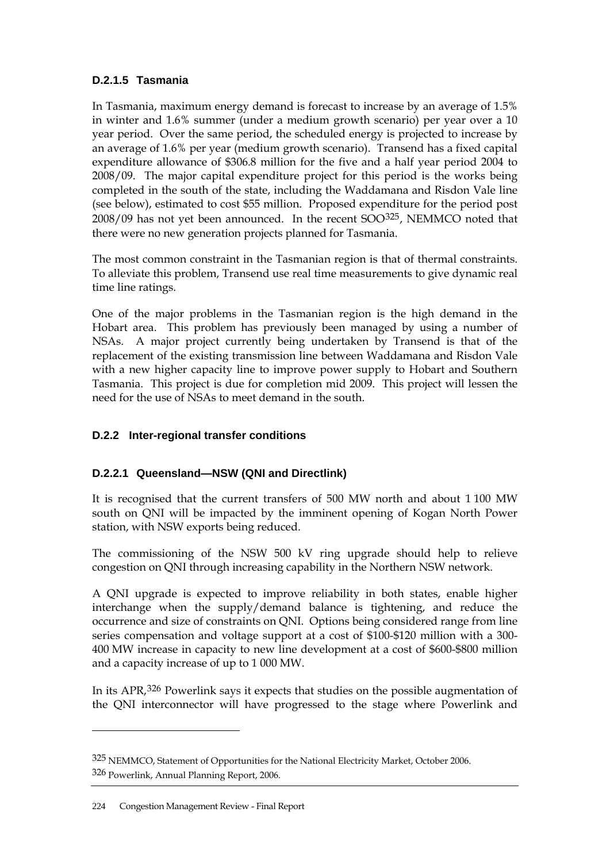## **D.2.1.5 Tasmania**

In Tasmania, maximum energy demand is forecast to increase by an average of 1.5% in winter and 1.6% summer (under a medium growth scenario) per year over a 10 year period. Over the same period, the scheduled energy is projected to increase by an average of 1.6% per year (medium growth scenario). Transend has a fixed capital expenditure allowance of \$306.8 million for the five and a half year period 2004 to 2008/09. The major capital expenditure project for this period is the works being completed in the south of the state, including the Waddamana and Risdon Vale line (see below), estimated to cost \$55 million. Proposed expenditure for the period post 2008/09 has not yet been announced. In the recent SOO[325](#page-5-0), NEMMCO noted that there were no new generation projects planned for Tasmania.

The most common constraint in the Tasmanian region is that of thermal constraints. To alleviate this problem, Transend use real time measurements to give dynamic real time line ratings.

One of the major problems in the Tasmanian region is the high demand in the Hobart area. This problem has previously been managed by using a number of NSAs. A major project currently being undertaken by Transend is that of the replacement of the existing transmission line between Waddamana and Risdon Vale with a new higher capacity line to improve power supply to Hobart and Southern Tasmania. This project is due for completion mid 2009. This project will lessen the need for the use of NSAs to meet demand in the south.

# **D.2.2 Inter-regional transfer conditions**

# **D.2.2.1 Queensland—NSW (QNI and Directlink)**

It is recognised that the current transfers of 500 MW north and about 1 100 MW south on QNI will be impacted by the imminent opening of Kogan North Power station, with NSW exports being reduced.

The commissioning of the NSW 500 kV ring upgrade should help to relieve congestion on QNI through increasing capability in the Northern NSW network.

A QNI upgrade is expected to improve reliability in both states, enable higher interchange when the supply/demand balance is tightening, and reduce the occurrence and size of constraints on QNI. Options being considered range from line series compensation and voltage support at a cost of \$100-\$120 million with a 300- 400 MW increase in capacity to new line development at a cost of \$600-\$800 million and a capacity increase of up to 1 000 MW.

In its APR,[326](#page-5-1) Powerlink says it expects that studies on the possible augmentation of the QNI interconnector will have progressed to the stage where Powerlink and

<span id="page-5-1"></span><span id="page-5-0"></span><sup>325</sup> NEMMCO, Statement of Opportunities for the National Electricity Market, October 2006. 326 Powerlink, Annual Planning Report, 2006.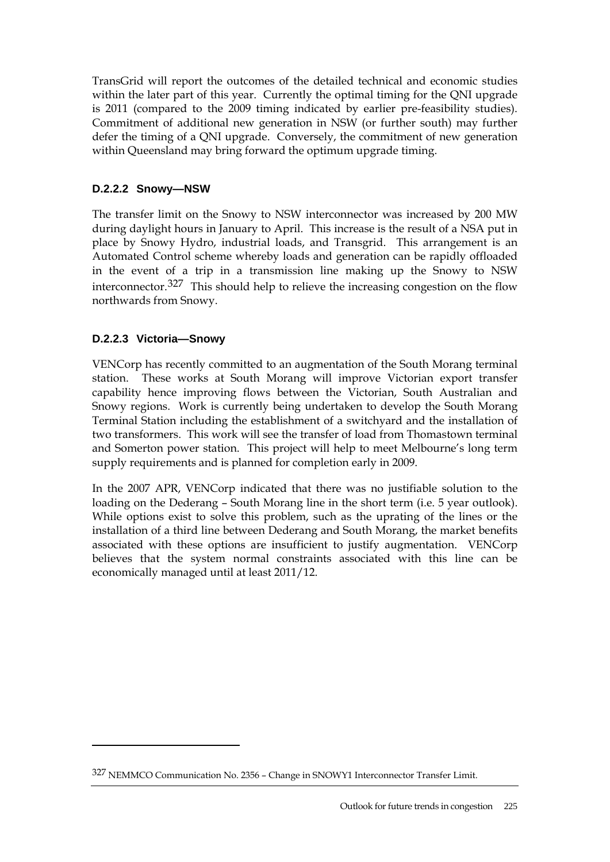TransGrid will report the outcomes of the detailed technical and economic studies within the later part of this year. Currently the optimal timing for the QNI upgrade is 2011 (compared to the 2009 timing indicated by earlier pre-feasibility studies). Commitment of additional new generation in NSW (or further south) may further defer the timing of a QNI upgrade. Conversely, the commitment of new generation within Queensland may bring forward the optimum upgrade timing.

# **D.2.2.2 Snowy—NSW**

The transfer limit on the Snowy to NSW interconnector was increased by 200 MW during daylight hours in January to April. This increase is the result of a NSA put in place by Snowy Hydro, industrial loads, and Transgrid. This arrangement is an Automated Control scheme whereby loads and generation can be rapidly offloaded in the event of a trip in a transmission line making up the Snowy to NSW interconnector.[327](#page-6-0) This should help to relieve the increasing congestion on the flow northwards from Snowy.

# **D.2.2.3 Victoria—Snowy**

 $\overline{a}$ 

VENCorp has recently committed to an augmentation of the South Morang terminal station. These works at South Morang will improve Victorian export transfer capability hence improving flows between the Victorian, South Australian and Snowy regions. Work is currently being undertaken to develop the South Morang Terminal Station including the establishment of a switchyard and the installation of two transformers. This work will see the transfer of load from Thomastown terminal and Somerton power station. This project will help to meet Melbourne's long term supply requirements and is planned for completion early in 2009.

In the 2007 APR, VENCorp indicated that there was no justifiable solution to the loading on the Dederang – South Morang line in the short term (i.e. 5 year outlook). While options exist to solve this problem, such as the uprating of the lines or the installation of a third line between Dederang and South Morang, the market benefits associated with these options are insufficient to justify augmentation. VENCorp believes that the system normal constraints associated with this line can be economically managed until at least 2011/12.

<span id="page-6-0"></span><sup>327</sup> NEMMCO Communication No. 2356 – Change in SNOWY1 Interconnector Transfer Limit.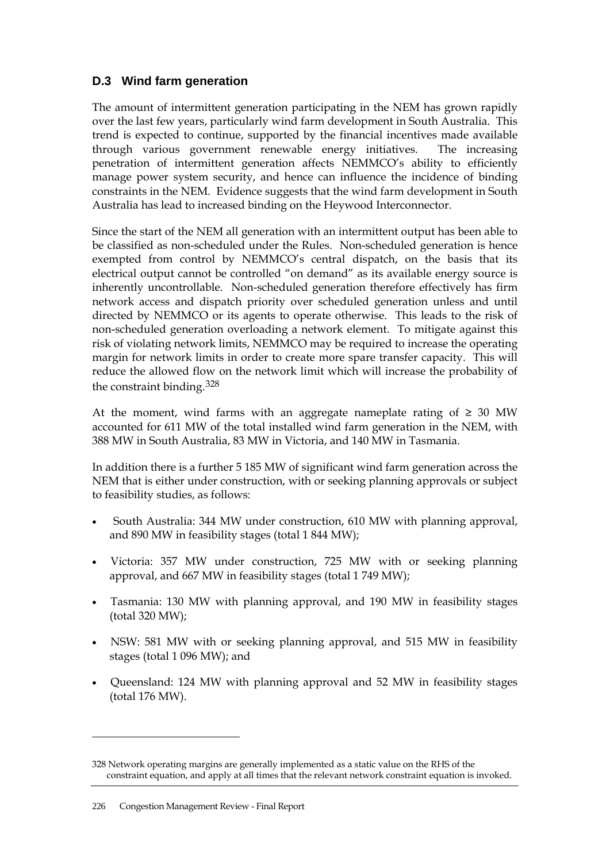# <span id="page-7-0"></span>**D.3 Wind farm generation**

The amount of intermittent generation participating in the NEM has grown rapidly over the last few years, particularly wind farm development in South Australia. This trend is expected to continue, supported by the financial incentives made available through various government renewable energy initiatives. The increasing penetration of intermittent generation affects NEMMCO's ability to efficiently manage power system security, and hence can influence the incidence of binding constraints in the NEM. Evidence suggests that the wind farm development in South Australia has lead to increased binding on the Heywood Interconnector.

Since the start of the NEM all generation with an intermittent output has been able to be classified as non-scheduled under the Rules. Non-scheduled generation is hence exempted from control by NEMMCO's central dispatch, on the basis that its electrical output cannot be controlled "on demand" as its available energy source is inherently uncontrollable. Non-scheduled generation therefore effectively has firm network access and dispatch priority over scheduled generation unless and until directed by NEMMCO or its agents to operate otherwise. This leads to the risk of non-scheduled generation overloading a network element. To mitigate against this risk of violating network limits, NEMMCO may be required to increase the operating margin for network limits in order to create more spare transfer capacity. This will reduce the allowed flow on the network limit which will increase the probability of the constraint binding.[328](#page-7-1)

At the moment, wind farms with an aggregate nameplate rating of  $\geq 30$  MW accounted for 611 MW of the total installed wind farm generation in the NEM, with 388 MW in South Australia, 83 MW in Victoria, and 140 MW in Tasmania.

In addition there is a further 5 185 MW of significant wind farm generation across the NEM that is either under construction, with or seeking planning approvals or subject to feasibility studies, as follows:

- South Australia: 344 MW under construction, 610 MW with planning approval, and 890 MW in feasibility stages (total 1 844 MW);
- Victoria: 357 MW under construction, 725 MW with or seeking planning approval, and 667 MW in feasibility stages (total 1 749 MW);
- Tasmania: 130 MW with planning approval, and 190 MW in feasibility stages (total 320 MW);
- NSW: 581 MW with or seeking planning approval, and 515 MW in feasibility stages (total 1 096 MW); and
- Queensland: 124 MW with planning approval and 52 MW in feasibility stages (total 176 MW).

<span id="page-7-1"></span><sup>328</sup> Network operating margins are generally implemented as a static value on the RHS of the constraint equation, and apply at all times that the relevant network constraint equation is invoked.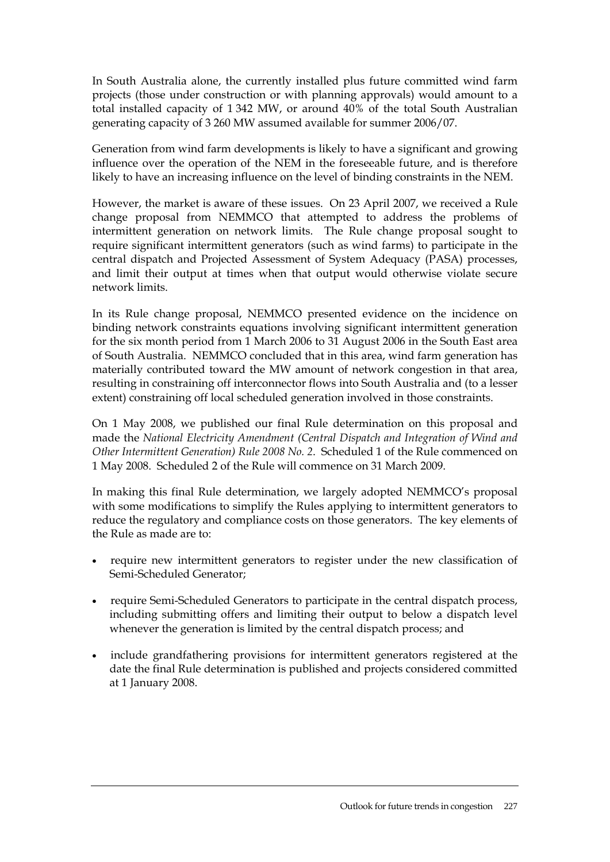In South Australia alone, the currently installed plus future committed wind farm projects (those under construction or with planning approvals) would amount to a total installed capacity of 1 342 MW, or around 40% of the total South Australian generating capacity of 3 260 MW assumed available for summer 2006/07.

Generation from wind farm developments is likely to have a significant and growing influence over the operation of the NEM in the foreseeable future, and is therefore likely to have an increasing influence on the level of binding constraints in the NEM.

However, the market is aware of these issues. On 23 April 2007, we received a Rule change proposal from NEMMCO that attempted to address the problems of intermittent generation on network limits. The Rule change proposal sought to require significant intermittent generators (such as wind farms) to participate in the central dispatch and Projected Assessment of System Adequacy (PASA) processes, and limit their output at times when that output would otherwise violate secure network limits.

In its Rule change proposal, NEMMCO presented evidence on the incidence on binding network constraints equations involving significant intermittent generation for the six month period from 1 March 2006 to 31 August 2006 in the South East area of South Australia. NEMMCO concluded that in this area, wind farm generation has materially contributed toward the MW amount of network congestion in that area, resulting in constraining off interconnector flows into South Australia and (to a lesser extent) constraining off local scheduled generation involved in those constraints.

On 1 May 2008, we published our final Rule determination on this proposal and made the *National Electricity Amendment (Central Dispatch and Integration of Wind and Other Intermittent Generation) Rule 2008 No. 2*. Scheduled 1 of the Rule commenced on 1 May 2008. Scheduled 2 of the Rule will commence on 31 March 2009.

In making this final Rule determination, we largely adopted NEMMCO's proposal with some modifications to simplify the Rules applying to intermittent generators to reduce the regulatory and compliance costs on those generators. The key elements of the Rule as made are to:

- require new intermittent generators to register under the new classification of Semi-Scheduled Generator;
- require Semi-Scheduled Generators to participate in the central dispatch process, including submitting offers and limiting their output to below a dispatch level whenever the generation is limited by the central dispatch process; and
- include grandfathering provisions for intermittent generators registered at the date the final Rule determination is published and projects considered committed at 1 January 2008.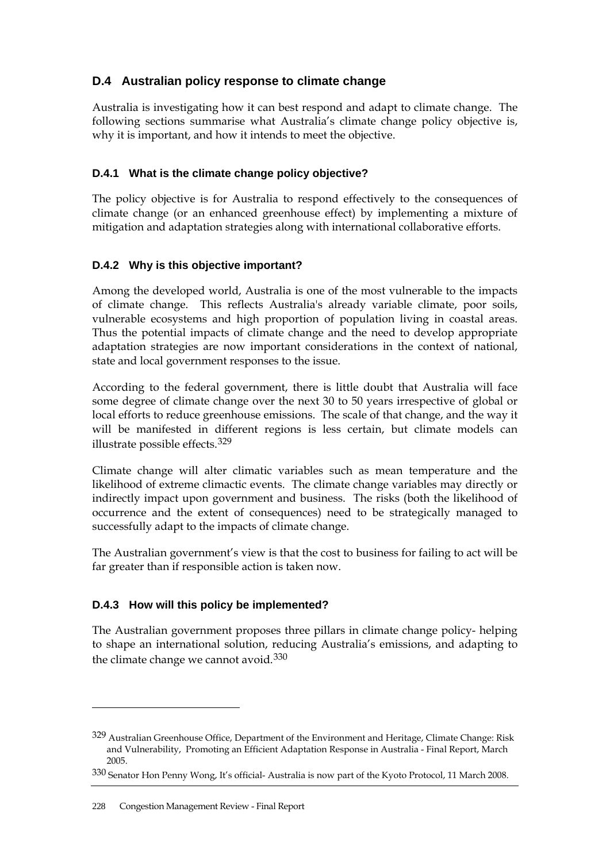# <span id="page-9-0"></span>**D.4 Australian policy response to climate change**

Australia is investigating how it can best respond and adapt to climate change. The following sections summarise what Australia's climate change policy objective is, why it is important, and how it intends to meet the objective.

# **D.4.1 What is the climate change policy objective?**

The policy objective is for Australia to respond effectively to the consequences of climate change (or an enhanced greenhouse effect) by implementing a mixture of mitigation and adaptation strategies along with international collaborative efforts.

# **D.4.2 Why is this objective important?**

Among the developed world, Australia is one of the most vulnerable to the impacts of climate change. This reflects Australia's already variable climate, poor soils, vulnerable ecosystems and high proportion of population living in coastal areas. Thus the potential impacts of climate change and the need to develop appropriate adaptation strategies are now important considerations in the context of national, state and local government responses to the issue.

According to the federal government, there is little doubt that Australia will face some degree of climate change over the next 30 to 50 years irrespective of global or local efforts to reduce greenhouse emissions. The scale of that change, and the way it will be manifested in different regions is less certain, but climate models can illustrate possible effects.[329](#page-9-1)

Climate change will alter climatic variables such as mean temperature and the likelihood of extreme climactic events. The climate change variables may directly or indirectly impact upon government and business. The risks (both the likelihood of occurrence and the extent of consequences) need to be strategically managed to successfully adapt to the impacts of climate change.

The Australian government's view is that the cost to business for failing to act will be far greater than if responsible action is taken now.

## **D.4.3 How will this policy be implemented?**

The Australian government proposes three pillars in climate change policy- helping to shape an international solution, reducing Australia's emissions, and adapting to the climate change we cannot avoid.[330](#page-9-2)

<span id="page-9-1"></span><sup>329</sup> Australian Greenhouse Office, Department of the Environment and Heritage, Climate Change: Risk and Vulnerability, Promoting an Efficient Adaptation Response in Australia - Final Report, March 2005.

<span id="page-9-2"></span><sup>330</sup> Senator Hon Penny Wong, It's official- Australia is now part of the Kyoto Protocol, 11 March 2008.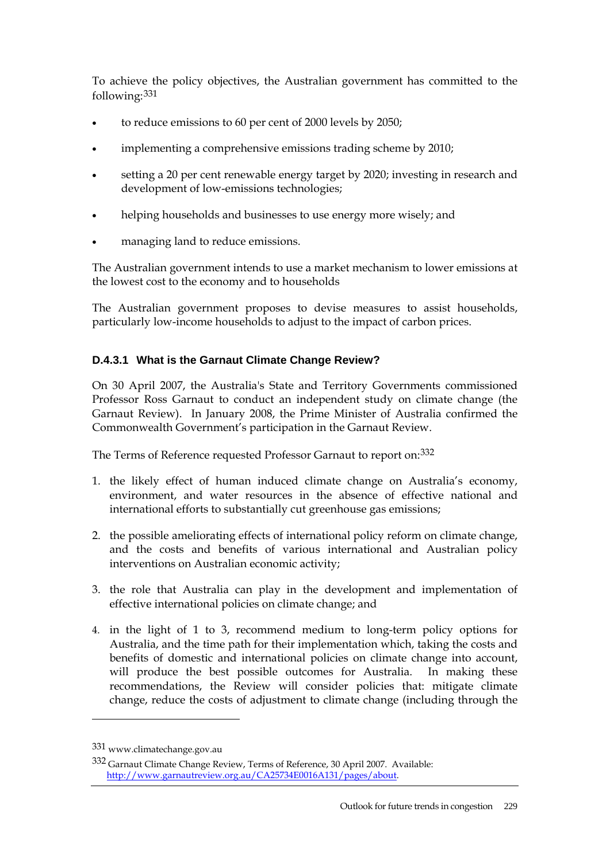To achieve the policy objectives, the Australian government has committed to the following:[331](#page-10-0)

- to reduce emissions to 60 per cent of 2000 levels by 2050;
- implementing a comprehensive emissions trading scheme by 2010;
- setting a 20 per cent renewable energy target by 2020; investing in research and development of low-emissions technologies;
- helping households and businesses to use energy more wisely; and
- managing land to reduce emissions.

The Australian government intends to use a market mechanism to lower emissions at the lowest cost to the economy and to households

The Australian government proposes to devise measures to assist households, particularly low-income households to adjust to the impact of carbon prices.

## **D.4.3.1 What is the Garnaut Climate Change Review?**

On 30 April 2007, the Australia's State and Territory Governments commissioned Professor Ross Garnaut to conduct an independent study on climate change (the Garnaut Review). In January 2008, the Prime Minister of Australia confirmed the Commonwealth Government's participation in the Garnaut Review.

The Terms of Reference requested Professor Garnaut to report on:[332](#page-10-1)

- 1. the likely effect of human induced climate change on Australia's economy, environment, and water resources in the absence of effective national and international efforts to substantially cut greenhouse gas emissions;
- 2. the possible ameliorating effects of international policy reform on climate change, and the costs and benefits of various international and Australian policy interventions on Australian economic activity;
- 3. the role that Australia can play in the development and implementation of effective international policies on climate change; and
- 4. in the light of 1 to 3, recommend medium to long-term policy options for Australia, and the time path for their implementation which, taking the costs and benefits of domestic and international policies on climate change into account, will produce the best possible outcomes for Australia. In making these recommendations, the Review will consider policies that: mitigate climate change, reduce the costs of adjustment to climate change (including through the

<span id="page-10-0"></span><sup>331</sup> www.climatechange.gov.au

<span id="page-10-1"></span><sup>332</sup> Garnaut Climate Change Review, Terms of Reference, 30 April 2007. Available: <http://www.garnautreview.org.au/CA25734E0016A131/pages/about>.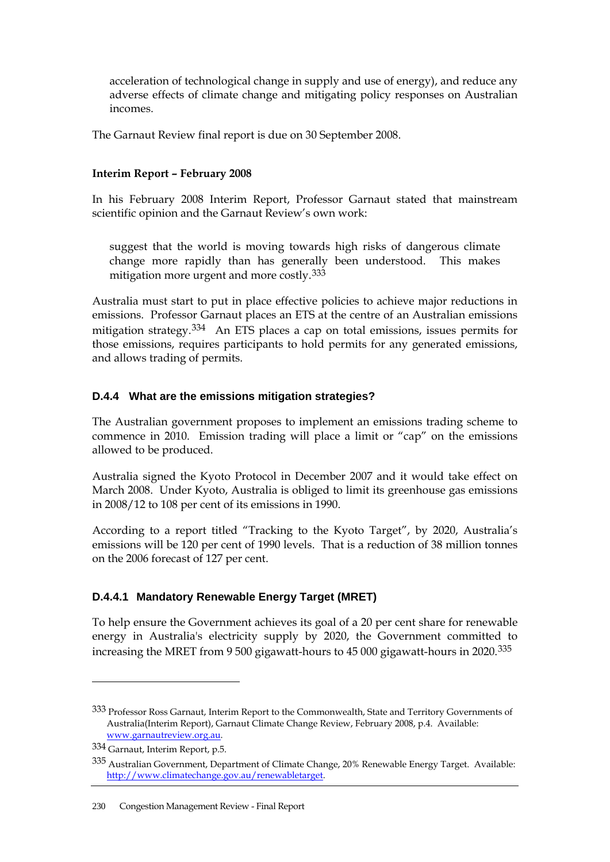acceleration of technological change in supply and use of energy), and reduce any adverse effects of climate change and mitigating policy responses on Australian incomes.

The Garnaut Review final report is due on 30 September 2008.

#### **Interim Report – February 2008**

In his February 2008 Interim Report, Professor Garnaut stated that mainstream scientific opinion and the Garnaut Review's own work:

suggest that the world is moving towards high risks of dangerous climate change more rapidly than has generally been understood. This makes mitigation more urgent and more costly.[333](#page-11-0)

Australia must start to put in place effective policies to achieve major reductions in emissions. Professor Garnaut places an ETS at the centre of an Australian emissions mitigation strategy.[334](#page-11-1) An ETS places a cap on total emissions, issues permits for those emissions, requires participants to hold permits for any generated emissions, and allows trading of permits.

## **D.4.4 What are the emissions mitigation strategies?**

The Australian government proposes to implement an emissions trading scheme to commence in 2010. Emission trading will place a limit or "cap" on the emissions allowed to be produced.

Australia signed the Kyoto Protocol in December 2007 and it would take effect on March 2008. Under Kyoto, Australia is obliged to limit its greenhouse gas emissions in 2008/12 to 108 per cent of its emissions in 1990.

According to a report titled "Tracking to the Kyoto Target", by 2020, Australia's emissions will be 120 per cent of 1990 levels. That is a reduction of 38 million tonnes on the 2006 forecast of 127 per cent.

## **D.4.4.1 Mandatory Renewable Energy Target (MRET)**

To help ensure the Government achieves its goal of a 20 per cent share for renewable energy in Australia's electricity supply by 2020, the Government committed to increasing the MRET from 9 500 gigawatt-hours to 45 000 gigawatt-hours in 2020.[335](#page-11-2)

<span id="page-11-0"></span><sup>333</sup> Professor Ross Garnaut, Interim Report to the Commonwealth, State and Territory Governments of Australia(Interim Report), Garnaut Climate Change Review, February 2008, p.4. Available: [www.garnautreview.org.au](http://www.garnautreview.org.au/).

<span id="page-11-1"></span><sup>334</sup> Garnaut, Interim Report, p.5.

<span id="page-11-2"></span><sup>335</sup> Australian Government, Department of Climate Change, 20% Renewable Energy Target. Available: <http://www.climatechange.gov.au/renewabletarget>.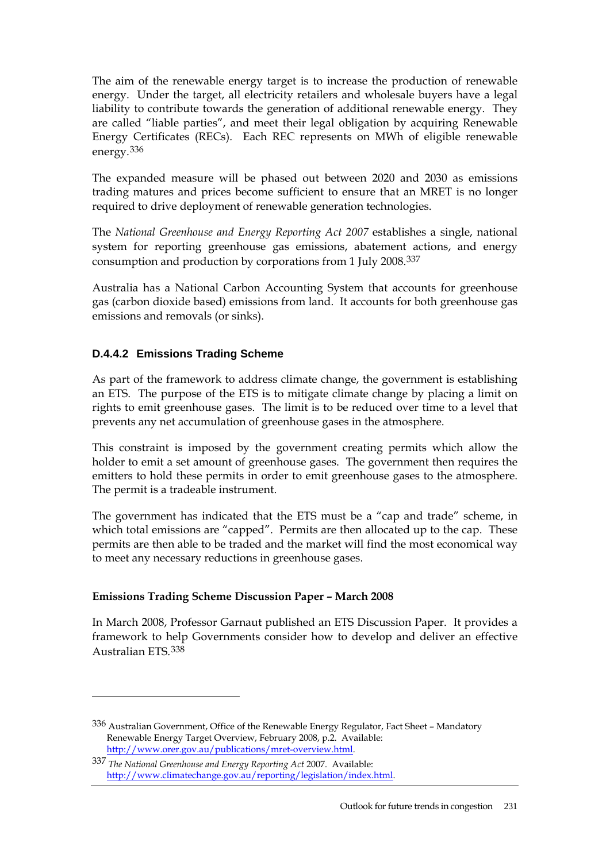The aim of the renewable energy target is to increase the production of renewable energy. Under the target, all electricity retailers and wholesale buyers have a legal liability to contribute towards the generation of additional renewable energy. They are called "liable parties", and meet their legal obligation by acquiring Renewable Energy Certificates (RECs). Each REC represents on MWh of eligible renewable energy.[336](#page-12-0)

The expanded measure will be phased out between 2020 and 2030 as emissions trading matures and prices become sufficient to ensure that an MRET is no longer required to drive deployment of renewable generation technologies.

The *National Greenhouse and Energy Reporting Act 2007* establishes a single, national system for reporting greenhouse gas emissions, abatement actions, and energy consumption and production by corporations from 1 July 2008.[337](#page-12-1)

Australia has a National Carbon Accounting System that accounts for greenhouse gas (carbon dioxide based) emissions from land. It accounts for both greenhouse gas emissions and removals (or sinks).

# **D.4.4.2 Emissions Trading Scheme**

 $\overline{a}$ 

As part of the framework to address climate change, the government is establishing an ETS. The purpose of the ETS is to mitigate climate change by placing a limit on rights to emit greenhouse gases. The limit is to be reduced over time to a level that prevents any net accumulation of greenhouse gases in the atmosphere.

This constraint is imposed by the government creating permits which allow the holder to emit a set amount of greenhouse gases. The government then requires the emitters to hold these permits in order to emit greenhouse gases to the atmosphere. The permit is a tradeable instrument.

The government has indicated that the ETS must be a "cap and trade" scheme, in which total emissions are "capped". Permits are then allocated up to the cap. These permits are then able to be traded and the market will find the most economical way to meet any necessary reductions in greenhouse gases.

## **Emissions Trading Scheme Discussion Paper – March 2008**

In March 2008, Professor Garnaut published an ETS Discussion Paper. It provides a framework to help Governments consider how to develop and deliver an effective Australian ETS.[338](#page-12-1)

<span id="page-12-0"></span><sup>336</sup> Australian Government, Office of the Renewable Energy Regulator, Fact Sheet – Mandatory Renewable Energy Target Overview, February 2008, p.2. Available: [http://www.orer.gov.au/publications/mret-overview.html.](http://www.orer.gov.au/publications/mret-overview.html)

<span id="page-12-1"></span><sup>337</sup> *The National Greenhouse and Energy Reporting Act* 2007. Available: [http://www.climatechange.gov.au/reporting/legislation/index.html.](http://www.climatechange.gov.au/reporting/legislation/index.html)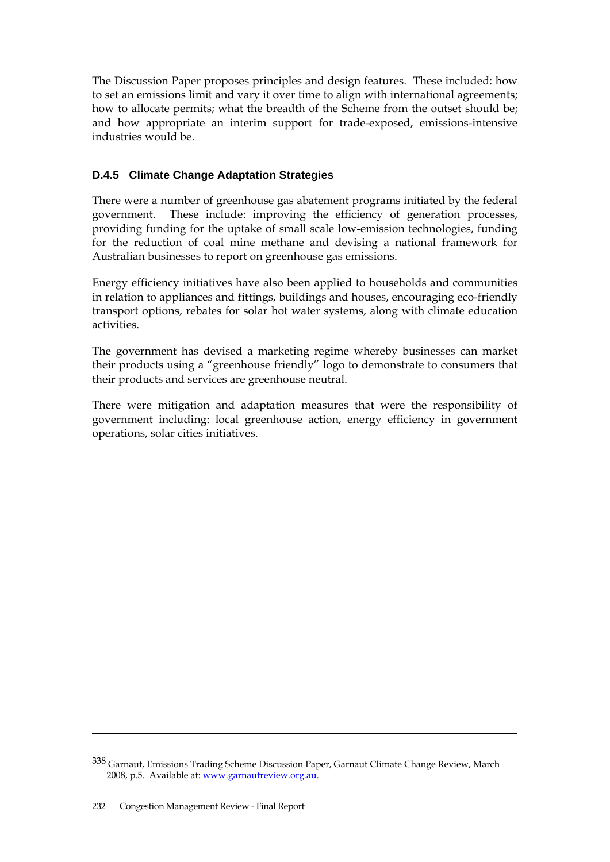The Discussion Paper proposes principles and design features. These included: how to set an emissions limit and vary it over time to align with international agreements; how to allocate permits; what the breadth of the Scheme from the outset should be; and how appropriate an interim support for trade-exposed, emissions-intensive industries would be.

# **D.4.5 Climate Change Adaptation Strategies**

There were a number of greenhouse gas abatement programs initiated by the federal government. These include: improving the efficiency of generation processes, providing funding for the uptake of small scale low-emission technologies, funding for the reduction of coal mine methane and devising a national framework for Australian businesses to report on greenhouse gas emissions.

Energy efficiency initiatives have also been applied to households and communities in relation to appliances and fittings, buildings and houses, encouraging eco-friendly transport options, rebates for solar hot water systems, along with climate education activities.

The government has devised a marketing regime whereby businesses can market their products using a "greenhouse friendly" logo to demonstrate to consumers that their products and services are greenhouse neutral.

There were mitigation and adaptation measures that were the responsibility of government including: local greenhouse action, energy efficiency in government operations, solar cities initiatives.

<sup>338</sup> Garnaut, Emissions Trading Scheme Discussion Paper, Garnaut Climate Change Review, March 2008, p.5. Available at: [www.garnautreview.org.au](http://www.garnautreview.org.au/).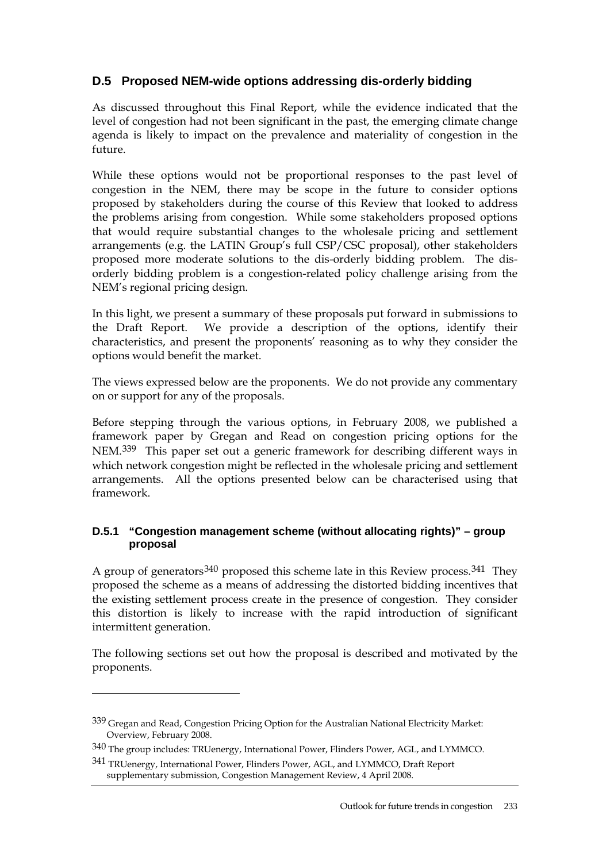# <span id="page-14-0"></span>**D.5 Proposed NEM-wide options addressing dis-orderly bidding**

As discussed throughout this Final Report, while the evidence indicated that the level of congestion had not been significant in the past, the emerging climate change agenda is likely to impact on the prevalence and materiality of congestion in the future.

While these options would not be proportional responses to the past level of congestion in the NEM, there may be scope in the future to consider options proposed by stakeholders during the course of this Review that looked to address the problems arising from congestion. While some stakeholders proposed options that would require substantial changes to the wholesale pricing and settlement arrangements (e.g. the LATIN Group's full CSP/CSC proposal), other stakeholders proposed more moderate solutions to the dis-orderly bidding problem. The disorderly bidding problem is a congestion-related policy challenge arising from the NEM's regional pricing design.

In this light, we present a summary of these proposals put forward in submissions to the Draft Report. We provide a description of the options, identify their characteristics, and present the proponents' reasoning as to why they consider the options would benefit the market.

The views expressed below are the proponents. We do not provide any commentary on or support for any of the proposals.

Before stepping through the various options, in February 2008, we published a framework paper by Gregan and Read on congestion pricing options for the NEM.[339](#page-14-1) This paper set out a generic framework for describing different ways in which network congestion might be reflected in the wholesale pricing and settlement arrangements. All the options presented below can be characterised using that framework.

#### **D.5.1 "Congestion management scheme (without allocating rights)" – group proposal**

A group of generators<sup>[340](#page-14-2)</sup> proposed this scheme late in this Review process.<sup>[341](#page-14-3)</sup> They proposed the scheme as a means of addressing the distorted bidding incentives that the existing settlement process create in the presence of congestion. They consider this distortion is likely to increase with the rapid introduction of significant intermittent generation.

The following sections set out how the proposal is described and motivated by the proponents.

<span id="page-14-1"></span><sup>339</sup> Gregan and Read, Congestion Pricing Option for the Australian National Electricity Market: Overview, February 2008.

<span id="page-14-2"></span><sup>340</sup> The group includes: TRUenergy, International Power, Flinders Power, AGL, and LYMMCO.

<span id="page-14-3"></span><sup>341</sup> TRUenergy, International Power, Flinders Power, AGL, and LYMMCO, Draft Report supplementary submission, Congestion Management Review, 4 April 2008.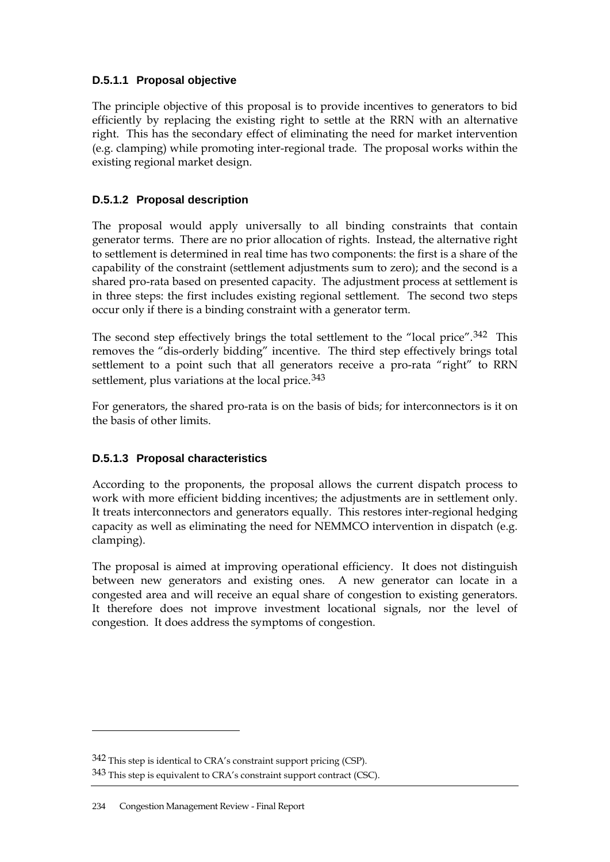# **D.5.1.1 Proposal objective**

The principle objective of this proposal is to provide incentives to generators to bid efficiently by replacing the existing right to settle at the RRN with an alternative right. This has the secondary effect of eliminating the need for market intervention (e.g. clamping) while promoting inter-regional trade. The proposal works within the existing regional market design.

# **D.5.1.2 Proposal description**

The proposal would apply universally to all binding constraints that contain generator terms. There are no prior allocation of rights. Instead, the alternative right to settlement is determined in real time has two components: the first is a share of the capability of the constraint (settlement adjustments sum to zero); and the second is a shared pro-rata based on presented capacity. The adjustment process at settlement is in three steps: the first includes existing regional settlement. The second two steps occur only if there is a binding constraint with a generator term.

The second step effectively brings the total settlement to the "local price".[342](#page-15-0) This removes the "dis-orderly bidding" incentive. The third step effectively brings total settlement to a point such that all generators receive a pro-rata "right" to RRN settlement, plus variations at the local price.<sup>[343](#page-15-1)</sup>

For generators, the shared pro-rata is on the basis of bids; for interconnectors is it on the basis of other limits.

# **D.5.1.3 Proposal characteristics**

According to the proponents, the proposal allows the current dispatch process to work with more efficient bidding incentives; the adjustments are in settlement only. It treats interconnectors and generators equally. This restores inter-regional hedging capacity as well as eliminating the need for NEMMCO intervention in dispatch (e.g. clamping).

The proposal is aimed at improving operational efficiency. It does not distinguish between new generators and existing ones. A new generator can locate in a congested area and will receive an equal share of congestion to existing generators. It therefore does not improve investment locational signals, nor the level of congestion. It does address the symptoms of congestion.

<span id="page-15-0"></span><sup>342</sup> This step is identical to CRA's constraint support pricing (CSP).

<span id="page-15-1"></span><sup>343</sup> This step is equivalent to CRA's constraint support contract (CSC).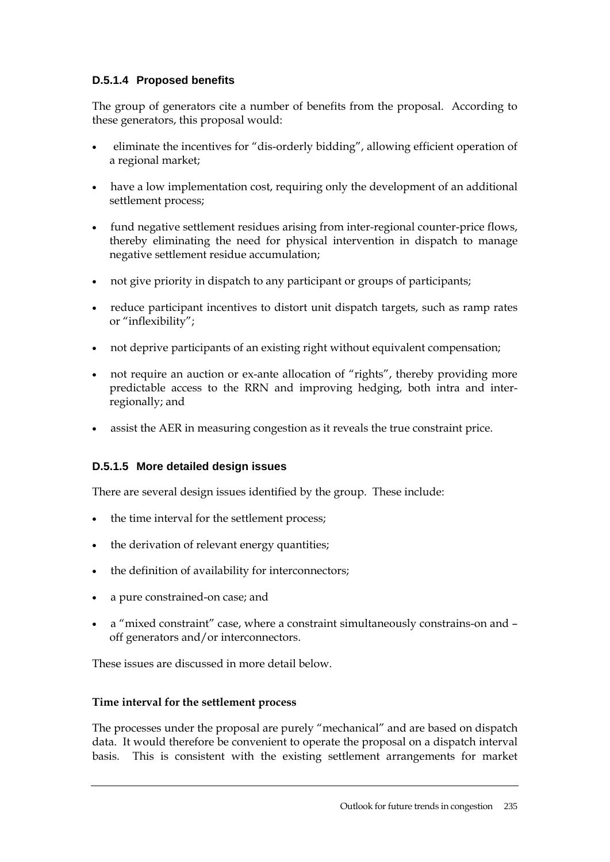# **D.5.1.4 Proposed benefits**

The group of generators cite a number of benefits from the proposal. According to these generators, this proposal would:

- eliminate the incentives for "dis-orderly bidding", allowing efficient operation of a regional market;
- have a low implementation cost, requiring only the development of an additional settlement process;
- fund negative settlement residues arising from inter-regional counter-price flows, thereby eliminating the need for physical intervention in dispatch to manage negative settlement residue accumulation;
- not give priority in dispatch to any participant or groups of participants;
- reduce participant incentives to distort unit dispatch targets, such as ramp rates or "inflexibility";
- not deprive participants of an existing right without equivalent compensation;
- not require an auction or ex-ante allocation of "rights", thereby providing more predictable access to the RRN and improving hedging, both intra and interregionally; and
- assist the AER in measuring congestion as it reveals the true constraint price.

## **D.5.1.5 More detailed design issues**

There are several design issues identified by the group. These include:

- the time interval for the settlement process;
- the derivation of relevant energy quantities;
- the definition of availability for interconnectors;
- a pure constrained-on case; and
- a "mixed constraint" case, where a constraint simultaneously constrains-on and off generators and/or interconnectors.

These issues are discussed in more detail below.

## **Time interval for the settlement process**

The processes under the proposal are purely "mechanical" and are based on dispatch data. It would therefore be convenient to operate the proposal on a dispatch interval basis. This is consistent with the existing settlement arrangements for market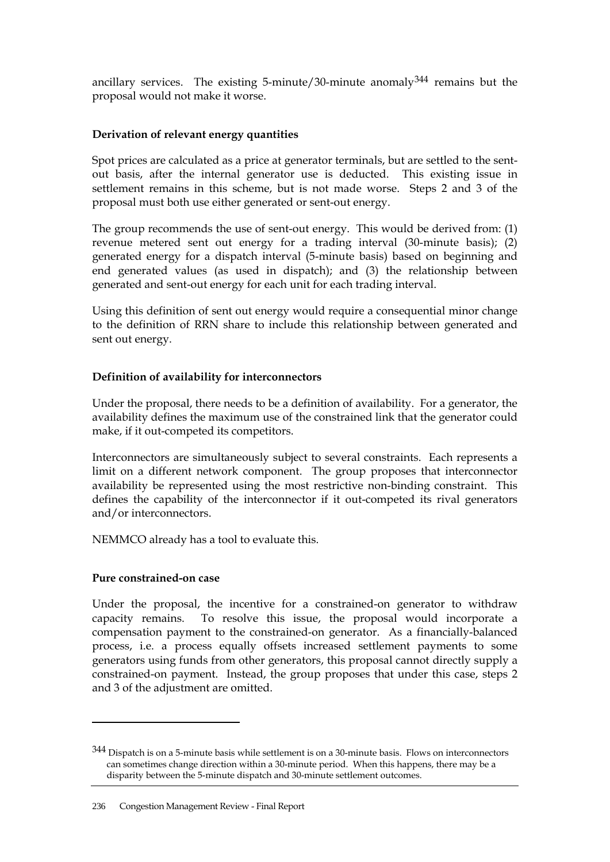ancillary services. The existing 5-minute/30-minute anomaly $344$  remains but the proposal would not make it worse.

#### **Derivation of relevant energy quantities**

Spot prices are calculated as a price at generator terminals, but are settled to the sentout basis, after the internal generator use is deducted. This existing issue in settlement remains in this scheme, but is not made worse. Steps 2 and 3 of the proposal must both use either generated or sent-out energy.

The group recommends the use of sent-out energy. This would be derived from: (1) revenue metered sent out energy for a trading interval (30-minute basis); (2) generated energy for a dispatch interval (5-minute basis) based on beginning and end generated values (as used in dispatch); and (3) the relationship between generated and sent-out energy for each unit for each trading interval.

Using this definition of sent out energy would require a consequential minor change to the definition of RRN share to include this relationship between generated and sent out energy.

#### **Definition of availability for interconnectors**

Under the proposal, there needs to be a definition of availability. For a generator, the availability defines the maximum use of the constrained link that the generator could make, if it out-competed its competitors.

Interconnectors are simultaneously subject to several constraints. Each represents a limit on a different network component. The group proposes that interconnector availability be represented using the most restrictive non-binding constraint. This defines the capability of the interconnector if it out-competed its rival generators and/or interconnectors.

NEMMCO already has a tool to evaluate this.

#### **Pure constrained-on case**

 $\overline{a}$ 

Under the proposal, the incentive for a constrained-on generator to withdraw capacity remains. To resolve this issue, the proposal would incorporate a compensation payment to the constrained-on generator. As a financially-balanced process, i.e. a process equally offsets increased settlement payments to some generators using funds from other generators, this proposal cannot directly supply a constrained-on payment. Instead, the group proposes that under this case, steps 2 and 3 of the adjustment are omitted.

<span id="page-17-0"></span><sup>344</sup> Dispatch is on a 5-minute basis while settlement is on a 30-minute basis. Flows on interconnectors can sometimes change direction within a 30-minute period. When this happens, there may be a disparity between the 5-minute dispatch and 30-minute settlement outcomes.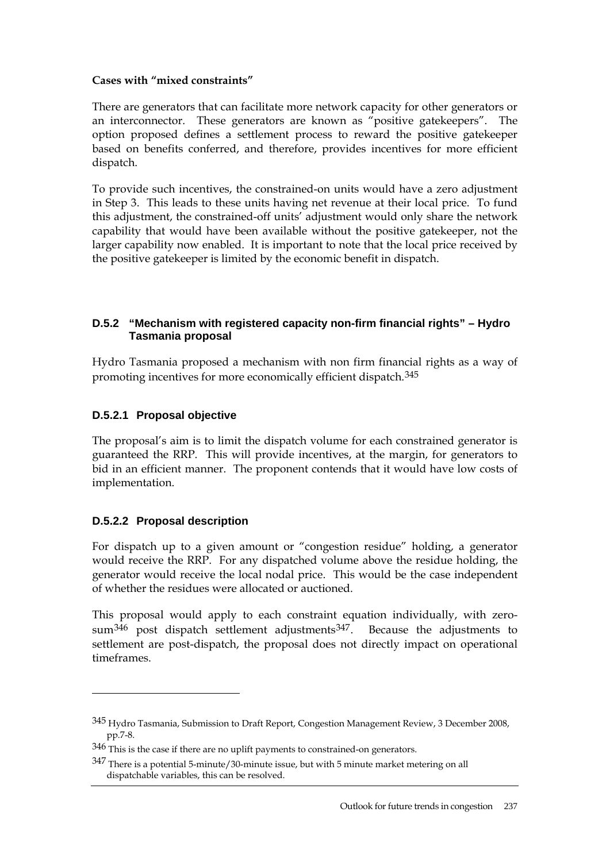#### **Cases with "mixed constraints"**

There are generators that can facilitate more network capacity for other generators or an interconnector. These generators are known as "positive gatekeepers". The option proposed defines a settlement process to reward the positive gatekeeper based on benefits conferred, and therefore, provides incentives for more efficient dispatch.

To provide such incentives, the constrained-on units would have a zero adjustment in Step 3. This leads to these units having net revenue at their local price. To fund this adjustment, the constrained-off units' adjustment would only share the network capability that would have been available without the positive gatekeeper, not the larger capability now enabled. It is important to note that the local price received by the positive gatekeeper is limited by the economic benefit in dispatch.

#### **D.5.2 "Mechanism with registered capacity non-firm financial rights" – Hydro Tasmania proposal**

Hydro Tasmania proposed a mechanism with non firm financial rights as a way of promoting incentives for more economically efficient dispatch.[345](#page-18-0)

## **D.5.2.1 Proposal objective**

The proposal's aim is to limit the dispatch volume for each constrained generator is guaranteed the RRP. This will provide incentives, at the margin, for generators to bid in an efficient manner. The proponent contends that it would have low costs of implementation.

## **D.5.2.2 Proposal description**

 $\overline{a}$ 

For dispatch up to a given amount or "congestion residue" holding, a generator would receive the RRP. For any dispatched volume above the residue holding, the generator would receive the local nodal price. This would be the case independent of whether the residues were allocated or auctioned.

This proposal would apply to each constraint equation individually, with zerosum $346$  post dispatch settlement adjustments $347$ . Because the adjustments to settlement are post-dispatch, the proposal does not directly impact on operational timeframes.

<span id="page-18-0"></span><sup>345</sup> Hydro Tasmania, Submission to Draft Report, Congestion Management Review, 3 December 2008, pp.7-8.

<span id="page-18-1"></span><sup>346</sup> This is the case if there are no uplift payments to constrained-on generators.

<span id="page-18-2"></span><sup>347</sup> There is a potential 5-minute/30-minute issue, but with 5 minute market metering on all dispatchable variables, this can be resolved.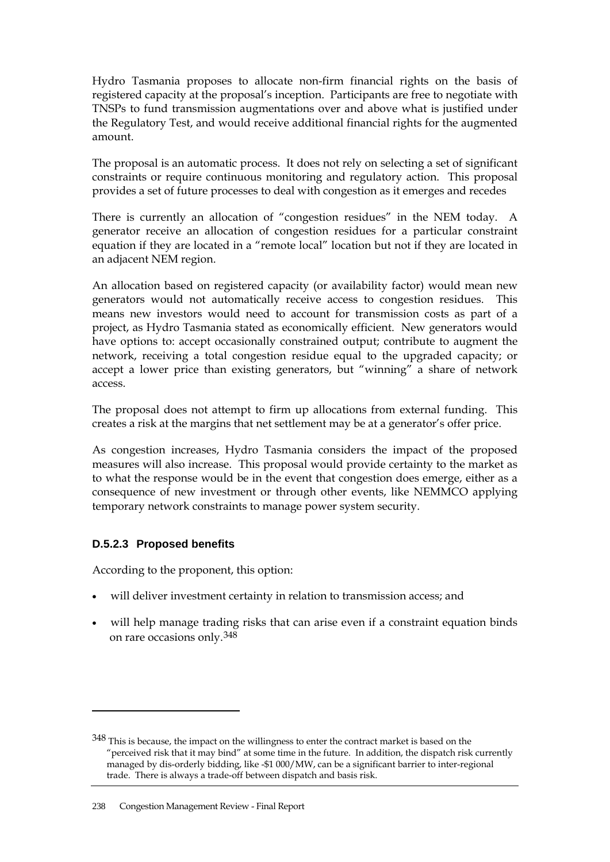Hydro Tasmania proposes to allocate non-firm financial rights on the basis of registered capacity at the proposal's inception. Participants are free to negotiate with TNSPs to fund transmission augmentations over and above what is justified under the Regulatory Test, and would receive additional financial rights for the augmented amount.

The proposal is an automatic process. It does not rely on selecting a set of significant constraints or require continuous monitoring and regulatory action. This proposal provides a set of future processes to deal with congestion as it emerges and recedes

There is currently an allocation of "congestion residues" in the NEM today. A generator receive an allocation of congestion residues for a particular constraint equation if they are located in a "remote local" location but not if they are located in an adjacent NEM region.

An allocation based on registered capacity (or availability factor) would mean new generators would not automatically receive access to congestion residues. This means new investors would need to account for transmission costs as part of a project, as Hydro Tasmania stated as economically efficient. New generators would have options to: accept occasionally constrained output; contribute to augment the network, receiving a total congestion residue equal to the upgraded capacity; or accept a lower price than existing generators, but "winning" a share of network access.

The proposal does not attempt to firm up allocations from external funding. This creates a risk at the margins that net settlement may be at a generator's offer price.

As congestion increases, Hydro Tasmania considers the impact of the proposed measures will also increase. This proposal would provide certainty to the market as to what the response would be in the event that congestion does emerge, either as a consequence of new investment or through other events, like NEMMCO applying temporary network constraints to manage power system security.

## **D.5.2.3 Proposed benefits**

 $\overline{a}$ 

According to the proponent, this option:

- will deliver investment certainty in relation to transmission access; and
- will help manage trading risks that can arise even if a constraint equation binds on rare occasions only.[348](#page-19-0)

<span id="page-19-0"></span><sup>348</sup> This is because, the impact on the willingness to enter the contract market is based on the "perceived risk that it may bind" at some time in the future. In addition, the dispatch risk currently managed by dis-orderly bidding, like -\$1 000/MW, can be a significant barrier to inter-regional trade. There is always a trade-off between dispatch and basis risk.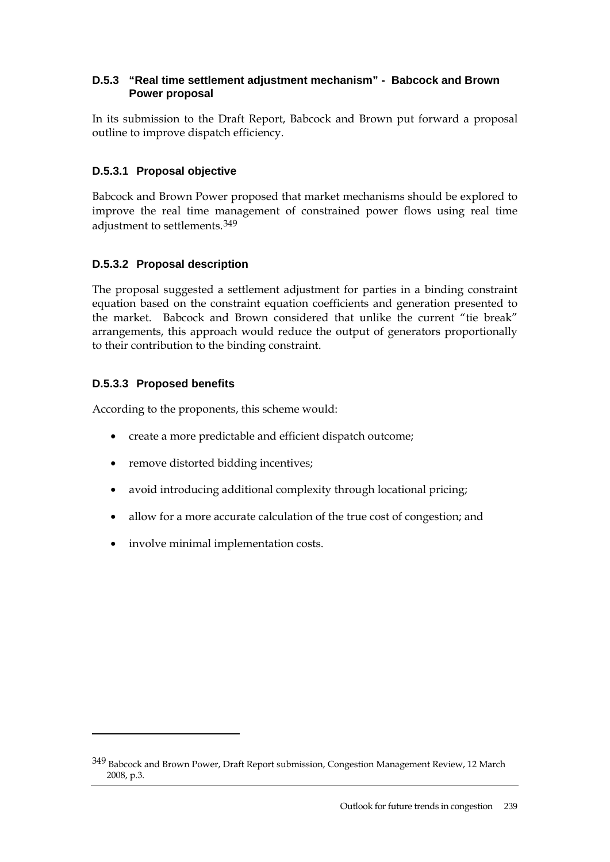#### **D.5.3 "Real time settlement adjustment mechanism" - Babcock and Brown Power proposal**

In its submission to the Draft Report, Babcock and Brown put forward a proposal outline to improve dispatch efficiency.

# **D.5.3.1 Proposal objective**

Babcock and Brown Power proposed that market mechanisms should be explored to improve the real time management of constrained power flows using real time adjustment to settlements.[349](#page-20-0)

# **D.5.3.2 Proposal description**

The proposal suggested a settlement adjustment for parties in a binding constraint equation based on the constraint equation coefficients and generation presented to the market. Babcock and Brown considered that unlike the current "tie break" arrangements, this approach would reduce the output of generators proportionally to their contribution to the binding constraint.

## **D.5.3.3 Proposed benefits**

 $\overline{a}$ 

According to the proponents, this scheme would:

- create a more predictable and efficient dispatch outcome;
- remove distorted bidding incentives;
- avoid introducing additional complexity through locational pricing;
- allow for a more accurate calculation of the true cost of congestion; and
- involve minimal implementation costs.

<span id="page-20-0"></span><sup>349</sup> Babcock and Brown Power, Draft Report submission, Congestion Management Review, 12 March 2008, p.3.